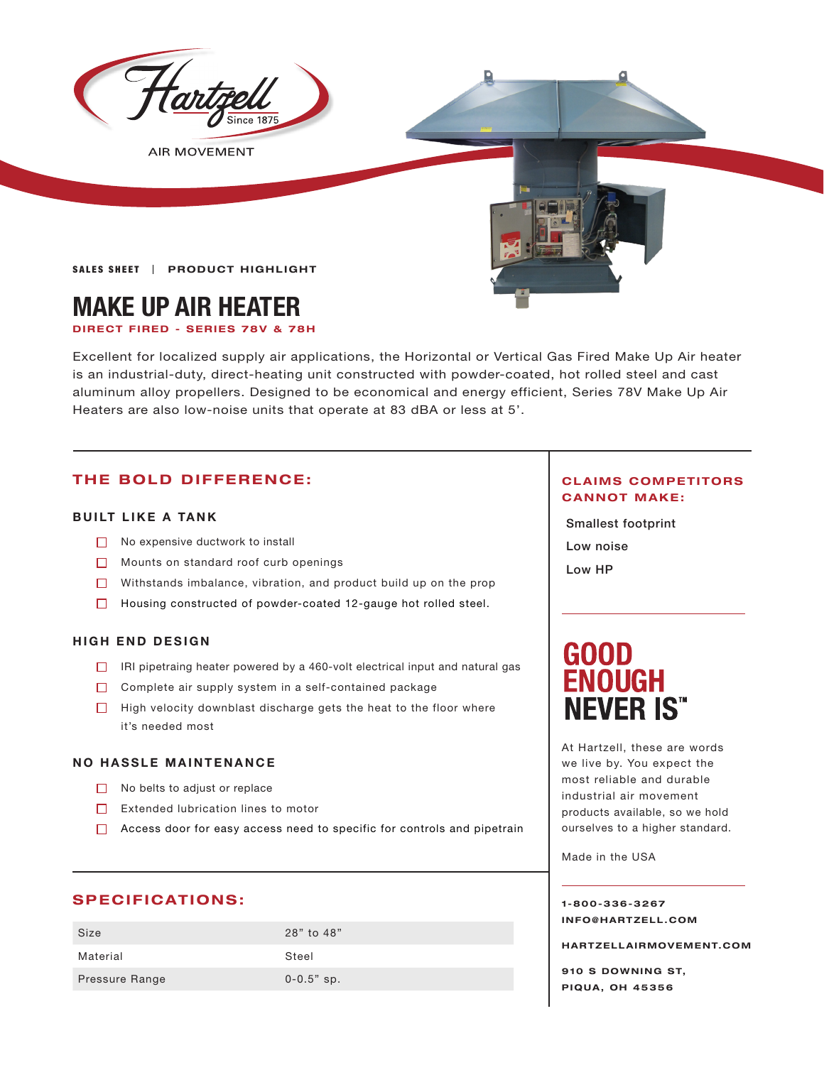

**AIR MOVEMENT** 



SALES SHEET | PRODUCT HIGHLIGHT

# **MAKE UP AIR HEATER**

**DIRECT FIRED - SERIES 78V & 78H**

Excellent for localized supply air applications, the Horizontal or Vertical Gas Fired Make Up Air heater is an industrial-duty, direct-heating unit constructed with powder-coated, hot rolled steel and cast aluminum alloy propellers. Designed to be economical and energy efficient, Series 78V Make Up Air Heaters are also low-noise units that operate at 83 dBA or less at 5'.

### **THE BOLD DIFFERENCE:**

#### **BUILT LIKE A TANK**

- $\Box$  No expensive ductwork to install
- Mounts on standard roof curb openings
- Withstands imbalance, vibration, and product build up on the prop
- $\Box$  Housing constructed of powder-coated 12-gauge hot rolled steel.

#### **HIGH END DESIGN**

- $\Box$  IRI pipetraing heater powered by a 460-volt electrical input and natural gas
- Complete air supply system in a self-contained package
- $\Box$  High velocity downblast discharge gets the heat to the floor where it's needed most

#### **NO HASSLE MAINTENANCE**

- $\Box$  No belts to adjust or replace
- $\Box$  Extended lubrication lines to motor
- □ Access door for easy access need to specific for controls and pipetrain

#### **SPECIFICATIONS:**

| Size           | 28" to 48"     |
|----------------|----------------|
| Material       | Steel          |
| Pressure Range | $0 - 0.5"$ sp. |

#### **CLAIMS COMPETITORS CANNOT MAKE:**

Smallest footprint Low noise Low HP

# GOOD<br>ENOUGH **NEVER IS"**

At Hartzell, these are words we live by. You expect the most reliable and durable industrial air movement products available, so we hold ourselves to a higher standard.

Made in the USA

**1-800-336-3267 I N F O @ H A R T Z E L L . C OM** 

**HARTZELLA IRMOVEMENT.COM**

**910 S DOWNING ST, PIQUA, OH 45356**